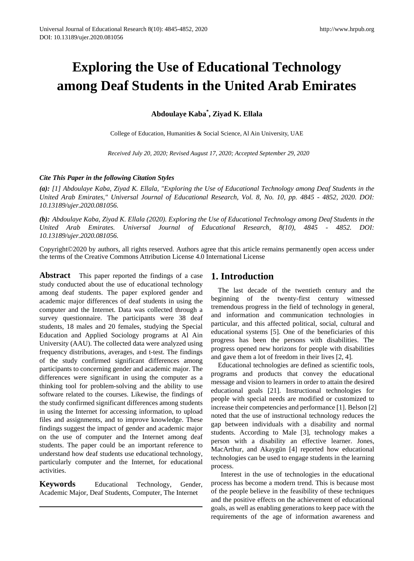# **Exploring the Use of Educational Technology among Deaf Students in the United Arab Emirates**

**Abdoulaye Kaba\* , Ziyad K. Ellala**

College of Education, Humanities & Social Science, Al Ain University, UAE

*Received July 20, 2020; Revised August 17, 2020; Accepted September 29, 2020*

### *Cite This Paper in the following Citation Styles*

*(a): [1] Abdoulaye Kaba, Ziyad K. Ellala, "Exploring the Use of Educational Technology among Deaf Students in the United Arab Emirates," Universal Journal of Educational Research, Vol. 8, No. 10, pp. 4845 - 4852, 2020. DOI: 10.13189/ujer.2020.081056.* 

*(b): Abdoulaye Kaba, Ziyad K. Ellala (2020). Exploring the Use of Educational Technology among Deaf Students in the United Arab Emirates. Universal Journal of Educational Research, 8(10), 4845 - 4852. DOI: 10.13189/ujer.2020.081056.* 

Copyright©2020 by authors, all rights reserved. Authors agree that this article remains permanently open access under the terms of the Creative Commons Attribution License 4.0 International License

**Abstract** This paper reported the findings of a case study conducted about the use of educational technology among deaf students. The paper explored gender and academic major differences of deaf students in using the computer and the Internet. Data was collected through a survey questionnaire. The participants were 38 deaf students, 18 males and 20 females, studying the Special Education and Applied Sociology programs at Al Ain University (AAU). The collected data were analyzed using frequency distributions, averages, and t-test. The findings of the study confirmed significant differences among participants to concerning gender and academic major. The differences were significant in using the computer as a thinking tool for problem-solving and the ability to use software related to the courses. Likewise, the findings of the study confirmed significant differences among students in using the Internet for accessing information, to upload files and assignments, and to improve knowledge. These findings suggest the impact of gender and academic major on the use of computer and the Internet among deaf students. The paper could be an important reference to understand how deaf students use educational technology, particularly computer and the Internet, for educational activities.

**Keywords** Educational Technology, Gender, Academic Major, Deaf Students, Computer, The Internet

# **1. Introduction**

The last decade of the twentieth century and the beginning of the twenty-first century witnessed tremendous progress in the field of technology in general, and information and communication technologies in particular, and this affected political, social, cultural and educational systems [5]. One of the beneficiaries of this progress has been the persons with disabilities. The progress opened new horizons for people with disabilities and gave them a lot of freedom in their lives [2, 4].

Educational technologies are defined as scientific tools, programs and products that convey the educational message and vision to learners in order to attain the desired educational goals [21]. Instructional technologies for people with special needs are modified or customized to increase their competencies and performance [1]. Belson [2] noted that the use of instructional technology reduces the gap between individuals with a disability and normal students. According to Male [3], technology makes a person with a disability an effective learner. Jones, MacArthur, and Akaygün [4] reported how educational technologies can be used to engage students in the learning process.

Interest in the use of technologies in the educational process has become a modern trend. This is because most of the people believe in the feasibility of these techniques and the positive effects on the achievement of educational goals, as well as enabling generations to keep pace with the requirements of the age of information awareness and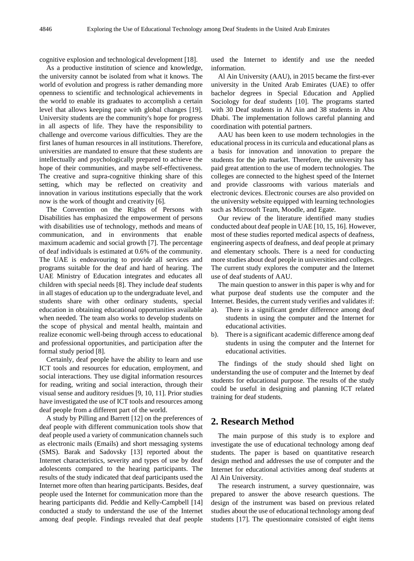cognitive explosion and technological development [18].

As a productive institution of science and knowledge, the university cannot be isolated from what it knows. The world of evolution and progress is rather demanding more openness to scientific and technological achievements in the world to enable its graduates to accomplish a certain level that allows keeping pace with global changes [19]. University students are the community's hope for progress in all aspects of life. They have the responsibility to challenge and overcome various difficulties. They are the first lanes of human resources in all institutions. Therefore, universities are mandated to ensure that these students are intellectually and psychologically prepared to achieve the hope of their communities, and maybe self-effectiveness. The creative and supra-cognitive thinking share of this setting, which may be reflected on creativity and innovation in various institutions especially that the work now is the work of thought and creativity [6].

The Convention on the Rights of Persons with Disabilities has emphasized the empowerment of persons with disabilities use of technology, methods and means of communication, and in environments that enable maximum academic and social growth [7]. The percentage of deaf individuals is estimated at 0.6% of the community. The UAE is endeavouring to provide all services and programs suitable for the deaf and hard of hearing. The UAE Ministry of Education integrates and educates all children with special needs [8]. They include deaf students in all stages of education up to the undergraduate level, and students share with other ordinary students, special education in obtaining educational opportunities available when needed. The team also works to develop students on the scope of physical and mental health, maintain and realize economic well-being through access to educational and professional opportunities, and participation after the formal study period [8].

Certainly, deaf people have the ability to learn and use ICT tools and resources for education, employment, and social interactions. They use digital information resources for reading, writing and social interaction, through their visual sense and auditory residues [9, 10, 11]. Prior studies have investigated the use of ICT tools and resources among deaf people from a different part of the world.

A study by Pilling and Barrett [12] on the preferences of deaf people with different communication tools show that deaf people used a variety of communication channels such as electronic mails (Emails) and short messaging systems (SMS). Barak and Sadovsky [13] reported about the Internet characteristics, severity and types of use by deaf adolescents compared to the hearing participants. The results of the study indicated that deaf participants used the Internet more often than hearing participants. Besides, deaf people used the Internet for communication more than the hearing participants did. Peddie and Kelly-Campbell [14] conducted a study to understand the use of the Internet among deaf people. Findings revealed that deaf people

used the Internet to identify and use the needed information.

Al Ain University (AAU), in 2015 became the first-ever university in the United Arab Emirates (UAE) to offer bachelor degrees in Special Education and Applied Sociology for deaf students [10]. The programs started with 30 Deaf students in Al Ain and 38 students in Abu Dhabi. The implementation follows careful planning and coordination with potential partners.

AAU has been keen to use modern technologies in the educational process in its curricula and educational plans as a basis for innovation and innovation to prepare the students for the job market. Therefore, the university has paid great attention to the use of modern technologies. The colleges are connected to the highest speed of the Internet and provide classrooms with various materials and electronic devices. Electronic courses are also provided on the university website equipped with learning technologies such as Microsoft Team, Moodle, and Egate.

Our review of the literature identified many studies conducted about deaf people in UAE [10, 15, 16]. However, most of these studies reported medical aspects of deafness, engineering aspects of deafness, and deaf people at primary and elementary schools. There is a need for conducting more studies about deaf people in universities and colleges. The current study explores the computer and the Internet use of deaf students of AAU.

The main question to answer in this paper is why and for what purpose deaf students use the computer and the Internet. Besides, the current study verifies and validates if:

- a). There is a significant gender difference among deaf students in using the computer and the Internet for educational activities.
- b). There is a significant academic difference among deaf students in using the computer and the Internet for educational activities.

The findings of the study should shed light on understanding the use of computer and the Internet by deaf students for educational purpose. The results of the study could be useful in designing and planning ICT related training for deaf students.

# **2. Research Method**

The main purpose of this study is to explore and investigate the use of educational technology among deaf students. The paper is based on quantitative research design method and addresses the use of computer and the Internet for educational activities among deaf students at Al Ain University.

The research instrument, a survey questionnaire, was prepared to answer the above research questions. The design of the instrument was based on previous related studies about the use of educational technology among deaf students [17]. The questionnaire consisted of eight items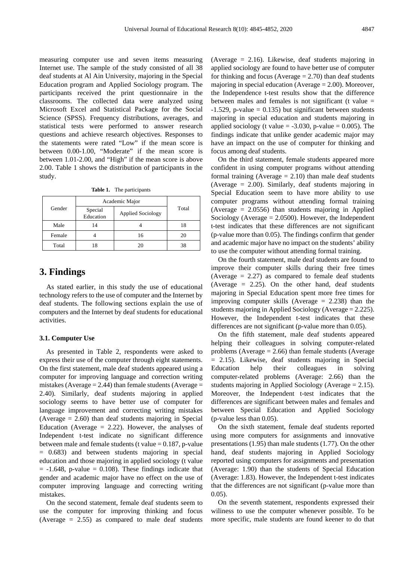measuring computer use and seven items measuring Internet use. The sample of the study consisted of all 38 deaf students at Al Ain University, majoring in the Special Education program and Applied Sociology program. The participants received the print questionnaire in the classrooms. The collected data were analyzed using Microsoft Excel and Statistical Package for the Social Science (SPSS). Frequency distributions, averages, and statistical tests were performed to answer research questions and achieve research objectives. Responses to the statements were rated "Low" if the mean score is between 0.00-1.00, "Moderate" if the mean score is between 1.01-2.00, and "High" if the mean score is above 2.00. Table 1 shows the distribution of participants in the study.

**Table 1.** The participants

| Gender | Academic Major       |                          |       |
|--------|----------------------|--------------------------|-------|
|        | Special<br>Education | <b>Applied Sociology</b> | Total |
| Male   | 14                   |                          | 18    |
| Female |                      | 16                       | 20    |
| Total  |                      | 20                       | 38    |

# **3. Findings**

As stated earlier, in this study the use of educational technology refers to the use of computer and the Internet by deaf students. The following sections explain the use of computers and the Internet by deaf students for educational activities.

#### **3.1. Computer Use**

As presented in Table 2, respondents were asked to express their use of the computer through eight statements. On the first statement, male deaf students appeared using a computer for improving language and correction writing mistakes (Average  $= 2.44$ ) than female students (Average  $=$ 2.40). Similarly, deaf students majoring in applied sociology seems to have better use of computer for language improvement and correcting writing mistakes (Average  $= 2.60$ ) than deaf students majoring in Special Education (Average  $= 2.22$ ). However, the analyses of Independent t-test indicate no significant difference between male and female students (t value  $= 0.187$ , p-value = 0.683) and between students majoring in special education and those majoring in applied sociology (t value  $= -1.648$ , p-value  $= 0.108$ ). These findings indicate that gender and academic major have no effect on the use of computer improving language and correcting writing mistakes.

On the second statement, female deaf students seem to use the computer for improving thinking and focus (Average  $= 2.55$ ) as compared to male deaf students

(Average  $= 2.16$ ). Likewise, deaf students majoring in applied sociology are found to have better use of computer for thinking and focus (Average  $= 2.70$ ) than deaf students majoring in special education (Average = 2.00). Moreover, the Independence t-test results show that the difference between males and females is not significant (t value  $=$  $-1.529$ , p-value = 0.135) but significant between students majoring in special education and students majoring in applied sociology (t value  $= -3.030$ , p-value  $= 0.005$ ). The findings indicate that unlike gender academic major may have an impact on the use of computer for thinking and focus among deaf students.

On the third statement, female students appeared more confident in using computer programs without attending formal training (Average  $= 2.10$ ) than male deaf students (Average = 2.00). Similarly, deaf students majoring in Special Education seem to have more ability to use computer programs without attending formal training (Average = 2.0556) than students majoring in Applied Sociology (Average  $= 2.0500$ ). However, the Independent t-test indicates that these differences are not significant (p-value more than 0.05). The findings confirm that gender and academic major have no impact on the students' ability to use the computer without attending formal training.

On the fourth statement, male deaf students are found to improve their computer skills during their free times (Average  $= 2.27$ ) as compared to female deaf students (Average = 2.25). On the other hand, deaf students majoring in Special Education spent more free times for improving computer skills (Average  $= 2.238$ ) than the students majoring in Applied Sociology (Average = 2.225). However, the Independent t-test indicates that these differences are not significant (p-value more than 0.05).

On the fifth statement, male deaf students appeared helping their colleagues in solving computer-related problems (Average  $= 2.66$ ) than female students (Average = 2.15). Likewise, deaf students majoring in Special Education help their colleagues in solving computer-related problems (Average: 2.66) than the students majoring in Applied Sociology (Average = 2.15). Moreover, the Independent t-test indicates that the differences are significant between males and females and between Special Education and Applied Sociology (p-value less than 0.05).

On the sixth statement, female deaf students reported using more computers for assignments and innovative presentations (1.95) than male students (1.77). On the other hand, deaf students majoring in Applied Sociology reported using computers for assignments and presentation (Average: 1.90) than the students of Special Education (Average: 1.83). However, the Independent t-test indicates that the differences are not significant (p-value more than 0.05).

On the seventh statement, respondents expressed their wiliness to use the computer whenever possible. To be more specific, male students are found keener to do that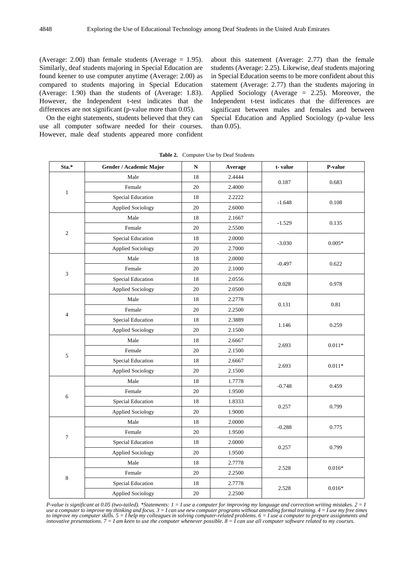(Average: 2.00) than female students (Average  $= 1.95$ ). Similarly, deaf students majoring in Special Education are found keener to use computer anytime (Average: 2.00) as compared to students majoring in Special Education (Average: 1.90) than the students of (Average: 1.83). However, the Independent t-test indicates that the differences are not significant (p-value more than 0.05).

On the eight statements, students believed that they can use all computer software needed for their courses. However, male deaf students appeared more confident about this statement (Average: 2.77) than the female students (Average: 2.25). Likewise, deaf students majoring in Special Education seems to be more confident about this statement (Average: 2.77) than the students majoring in Applied Sociology (Average = 2.25). Moreover, the Independent t-test indicates that the differences are significant between males and females and between Special Education and Applied Sociology (p-value less than 0.05).

| Sta.*                    | Gender / Academic Major  | $\mathbf N$ | Average | t-value  | P-value  |
|--------------------------|--------------------------|-------------|---------|----------|----------|
| $\mathbf{1}$             | Male                     | 18          | 2.4444  |          | 0.683    |
|                          | Female                   | 20          | 2.4000  | 0.187    |          |
|                          | <b>Special Education</b> | 18          | 2.2222  | $-1.648$ | 0.108    |
|                          | <b>Applied Sociology</b> | 20          | 2.6000  |          |          |
| $\mathbf{2}$             | Male                     | 18          | 2.1667  | $-1.529$ | 0.135    |
|                          | Female                   | 20          | 2.5500  |          |          |
|                          | <b>Special Education</b> | 18          | 2.0000  | $-3.030$ | $0.005*$ |
|                          | <b>Applied Sociology</b> | 20          | 2.7000  |          |          |
|                          | Male                     | 18          | 2.0000  |          | 0.622    |
|                          | Female                   | 20          | 2.1000  | $-0.497$ |          |
| 3                        | <b>Special Education</b> | 18          | 2.0556  | 0.028    | 0.978    |
|                          | <b>Applied Sociology</b> | 20          | 2.0500  |          |          |
|                          | Male                     | 18          | 2.2778  | 0.131    | 0.81     |
|                          | Female                   | 20          | 2.2500  |          |          |
| $\overline{\mathcal{L}}$ | <b>Special Education</b> | 18          | 2.3889  | 1.146    | 0.259    |
|                          | <b>Applied Sociology</b> | 20          | 2.1500  |          |          |
| $\sqrt{5}$               | Male                     | 18          | 2.6667  | 2.693    | $0.011*$ |
|                          | Female                   | 20          | 2.1500  |          |          |
|                          | <b>Special Education</b> | 18          | 2.6667  |          | $0.011*$ |
|                          | <b>Applied Sociology</b> | 20          | 2.1500  | 2.693    |          |
| 6                        | Male                     | 18          | 1.7778  | $-0.748$ | 0.459    |
|                          | Female                   | 20          | 1.9500  |          |          |
|                          | <b>Special Education</b> | 18          | 1.8333  | 0.257    | 0.799    |
|                          | <b>Applied Sociology</b> | 20          | 1.9000  |          |          |
| $\boldsymbol{7}$         | Male                     | 18          | 2.0000  |          | 0.775    |
|                          | Female                   | 20          | 1.9500  | $-0.288$ |          |
|                          | <b>Special Education</b> | 18          | 2.0000  | 0.257    | 0.799    |
|                          | Applied Sociology        | $20\,$      | 1.9500  |          |          |
| 8                        | Male                     | 18          | 2.7778  | 2.528    | $0.016*$ |
|                          | Female                   | 20          | 2.2500  |          |          |
|                          | Special Education        | 18          | 2.7778  | 2.528    | $0.016*$ |
|                          | <b>Applied Sociology</b> | 20          | 2.2500  |          |          |

**Table 2.** Computer Use by Deaf Students

P-value is significant at 0.05 (two-tailed). \*Statements:  $1 = I$  use a computer for improving my language and correction writing mistakes.  $2 = I$ use a computer to improve my thinking and focus.  $3 = I$  can use new computer programs without attending formal training.  $4 = I$  use my free times to improve my computer skills.  $5 = I$  help my colleagues in solving computer-related problems.  $6 = I$  use a computer to prepare assignments and innovative presentations.  $7 = I$  am keen to use the computer whenever possible.  $8 = I$  can use all computer software related to my courses.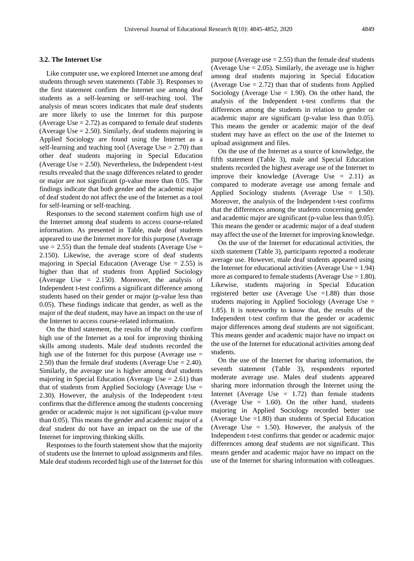#### **3.2. The Internet Use**

Like computer use, we explored Internet use among deaf students through seven statements (Table 3). Responses to the first statement confirm the Internet use among deaf students as a self-learning or self-teaching tool. The analysis of mean scores indicates that male deaf students are more likely to use the Internet for this purpose (Average Use  $= 2.72$ ) as compared to female deaf students (Average Use  $= 2.50$ ). Similarly, deaf students majoring in Applied Sociology are found using the Internet as a self-learning and teaching tool (Average Use  $= 2.70$ ) than other deaf students majoring in Special Education (Average Use  $= 2.50$ ). Nevertheless, the Independent t-test results revealed that the usage differences related to gender or major are not significant (p-value more than 0.05. The findings indicate that both gender and the academic major of deaf student do not affect the use of the Internet as a tool for self-learning or self-teaching.

Responses to the second statement confirm high use of the Internet among deaf students to access course-related information. As presented in Table, male deaf students appeared to use the Internet more for this purpose (Average use  $= 2.55$ ) than the female deaf students (Average Use  $=$ 2.150). Likewise, the average score of deaf students majoring in Special Education (Average Use  $= 2.55$ ) is higher than that of students from Applied Sociology (Average Use = 2.150). Moreover, the analysis of Independent t-test confirms a significant difference among students based on their gender or major (p-value less than 0.05). These findings indicate that gender, as well as the major of the deaf student, may have an impact on the use of the Internet to access course-related information.

On the third statement, the results of the study confirm high use of the Internet as a tool for improving thinking skills among students. Male deaf students recorded the high use of the Internet for this purpose (Average use  $=$ 2.50) than the female deaf students (Average Use = 2.40). Similarly, the average use is higher among deaf students majoring in Special Education (Average Use  $= 2.61$ ) than that of students from Applied Sociology (Average Use = 2.30). However, the analysis of the Independent t-test confirms that the difference among the students concerning gender or academic major is not significant (p-value more than 0.05). This means the gender and academic major of a deaf student do not have an impact on the use of the Internet for improving thinking skills.

Responses to the fourth statement show that the majority of students use the Internet to upload assignments and files. Male deaf students recorded high use of the Internet for this purpose (Average use  $= 2.55$ ) than the female deaf students (Average Use  $= 2.05$ ). Similarly, the average use is higher among deaf students majoring in Special Education (Average Use  $= 2.72$ ) than that of students from Applied Sociology (Average Use  $= 1.90$ ). On the other hand, the analysis of the Independent t-test confirms that the differences among the students in relation to gender or academic major are significant (p-value less than 0.05). This means the gender or academic major of the deaf student may have an effect on the use of the Internet to upload assignment and files.

On the use of the Internet as a source of knowledge, the fifth statement (Table 3), male and Special Education students recorded the highest average use of the Internet to improve their knowledge (Average Use  $= 2.11$ ) as compared to moderate average use among female and Applied Sociology students (Average Use = 1.50). Moreover, the analysis of the Independent t-test confirms that the differences among the students concerning gender and academic major are significant (p-value less than 0.05). This means the gender or academic major of a deaf student may affect the use of the Internet for improving knowledge.

On the use of the Internet for educational activities, the sixth statement (Table 3), participants reported a moderate average use. However, male deaf students appeared using the Internet for educational activities (Average Use  $= 1.94$ ) more as compared to female students (Average Use  $= 1.80$ ). Likewise, students majoring in Special Education registered better use (Average Use  $=1.88$ ) than those students majoring in Applied Sociology (Average Use = 1.85). It is noteworthy to know that, the results of the Independent t-test confirm that the gender or academic major differences among deaf students are not significant. This means gender and academic major have no impact on the use of the Internet for educational activities among deaf students.

On the use of the Internet for sharing information, the seventh statement (Table 3), respondents reported moderate average use. Males deaf students appeared sharing more information through the Internet using the Internet (Average Use  $= 1.72$ ) than female students (Average Use  $= 1.60$ ). On the other hand, students majoring in Applied Sociology recorded better use (Average Use =1.80) than students of Special Education (Average Use  $= 1.50$ ). However, the analysis of the Independent t-test confirms that gender or academic major differences among deaf students are not significant. This means gender and academic major have no impact on the use of the Internet for sharing information with colleagues.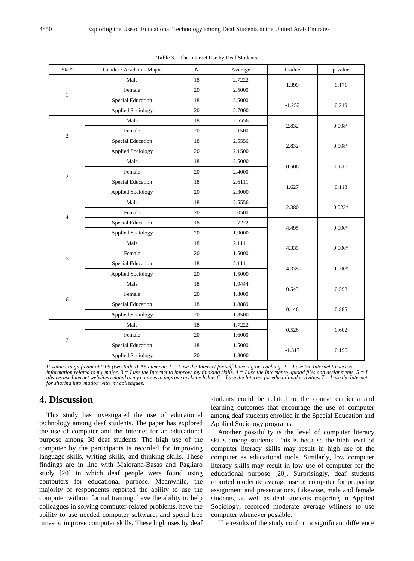| Sta.*            | Gender / Academic Major  | ${\bf N}$ | Average | t-value  | p-value  |
|------------------|--------------------------|-----------|---------|----------|----------|
| $1\,$            | Male                     | 18        | 2.7222  |          | 0.171    |
|                  | Female                   | 20        | 2.5000  | 1.399    |          |
|                  | Special Education        | 18        | 2.5000  | $-1.252$ | 0.219    |
|                  | <b>Applied Sociology</b> | 20        | 2.7000  |          |          |
| $\sqrt{2}$       | Male                     | 18        | 2.5556  | 2.832    | $0.008*$ |
|                  | Female                   | 20        | 2.1500  |          |          |
|                  | <b>Special Education</b> | 18        | 2.5556  |          | $0.008*$ |
|                  | <b>Applied Sociology</b> | 20        | 2.1500  | 2.832    |          |
| $\sqrt{2}$       | Male                     | 18        | 2.5000  | 0.506    | 0.616    |
|                  | Female                   | 20        | 2.4000  |          |          |
|                  | <b>Special Education</b> | 18        | 2.6111  | 1.627    | 0.113    |
|                  | Applied Sociology        | 20        | 2.3000  |          |          |
|                  | Male                     | 18        | 2.5556  | 2.380    | $0.023*$ |
|                  | Female                   | 20        | 2.0500  |          |          |
| $\overline{4}$   | <b>Special Education</b> | 18        | 2.7222  | 4.495    | $0.000*$ |
|                  | <b>Applied Sociology</b> | 20        | 1.9000  |          |          |
| 5                | Male                     | 18        | 2.1111  | 4.335    | $0.000*$ |
|                  | Female                   | 20        | 1.5000  |          |          |
|                  | Special Education        | 18        | 2.1111  | 4.335    | $0.000*$ |
|                  | <b>Applied Sociology</b> | 20        | 1.5000  |          |          |
| 6                | Male                     | 18        | 1.9444  | 0.543    | 0.593    |
|                  | Female                   | 20        | 1.8000  |          |          |
|                  | <b>Special Education</b> | 18        | 1.8889  | 0.146    | 0.885    |
|                  | <b>Applied Sociology</b> | 20        | 1.8500  |          |          |
| $\boldsymbol{7}$ | Male                     | 18        | 1.7222  |          | 0.602    |
|                  | Female                   | 20        | 1.6000  | 0.526    |          |
|                  | <b>Special Education</b> | 18        | 1.5000  |          | 0.196    |
|                  | <b>Applied Sociology</b> | 20        | 1.8000  | $-1.317$ |          |

**Table 3.** The Internet Use by Deaf Students

P-value is significant at 0.05 (two-tailed). \*Statement:  $1 = I$  use the Internet for self-learning or teaching,  $2 = I$  use the Internet to access information related to my major. 3 = I use the Internet to improve my thinking skills. 4 = I use the Internet to upload files and assignments. 5 = 1<br>always use Internet websites related to my courses to improve my knowledg *for sharing information with my colleagues.*

## **4. Discussion**

This study has investigated the use of educational technology among deaf students. The paper has explored the use of computer and the Internet for an educational purpose among 38 deaf students. The high use of the computer by the participants is recorded for improving language skills, writing skills, and thinking skills. These findings are in line with Maiorana-Basas and Pagliaro study [20] in which deaf people were found using computers for educational purpose. Meanwhile, the majority of respondents reported the ability to use the computer without formal training, have the ability to help colleagues in solving computer-related problems, have the ability to use needed computer software, and spend free times to improve computer skills. These high uses by deaf

students could be related to the course curricula and learning outcomes that encourage the use of computer among deaf students enrolled in the Special Education and Applied Sociology programs.

Another possibility is the level of computer literacy skills among students. This is because the high level of computer literacy skills may result in high use of the computer as educational tools. Similarly, low computer literacy skills may result in low use of computer for the educational purpose [20]. Surprisingly, deaf students reported moderate average use of computer for preparing assignment and presentations. Likewise, male and female students, as well as deaf students majoring in Applied Sociology, recorded moderate average wiliness to use computer whenever possible.

The results of the study confirm a significant difference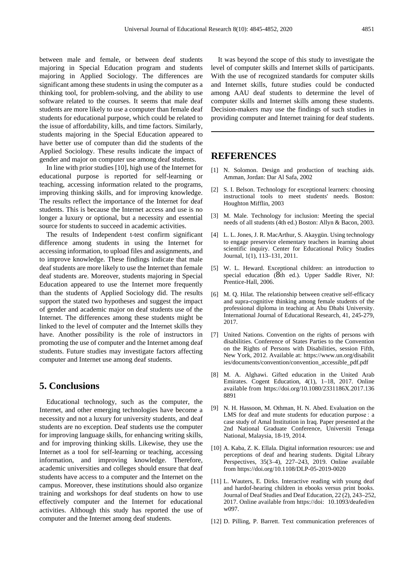between male and female, or between deaf students majoring in Special Education program and students majoring in Applied Sociology. The differences are significant among these students in using the computer as a thinking tool, for problem-solving, and the ability to use software related to the courses. It seems that male deaf students are more likely to use a computer than female deaf students for educational purpose, which could be related to the issue of affordability, kills, and time factors. Similarly, students majoring in the Special Education appeared to have better use of computer than did the students of the Applied Sociology. These results indicate the impact of gender and major on computer use among deaf students.

In line with prior studies [10], high use of the Internet for educational purpose is reported for self-learning or teaching, accessing information related to the programs, improving thinking skills, and for improving knowledge. The results reflect the importance of the Internet for deaf students. This is because the Internet access and use is no longer a luxury or optional, but a necessity and essential source for students to succeed in academic activities.

The results of Independent t-test confirm significant difference among students in using the Internet for accessing information, to upload files and assignments, and to improve knowledge. These findings indicate that male deaf students are more likely to use the Internet than female deaf students are. Moreover, students majoring in Special Education appeared to use the Internet more frequently than the students of Applied Sociology did. The results support the stated two hypotheses and suggest the impact of gender and academic major on deaf students use of the Internet. The differences among these students might be linked to the level of computer and the Internet skills they have. Another possibility is the role of instructors in promoting the use of computer and the Internet among deaf students. Future studies may investigate factors affecting computer and Internet use among deaf students.

# **5. Conclusions**

Educational technology, such as the computer, the Internet, and other emerging technologies have become a necessity and not a luxury for university students, and deaf students are no exception. Deaf students use the computer for improving language skills, for enhancing writing skills, and for improving thinking skills. Likewise, they use the Internet as a tool for self-learning or teaching, accessing information, and improving knowledge. Therefore, academic universities and colleges should ensure that deaf students have access to a computer and the Internet on the campus. Moreover, these institutions should also organize training and workshops for deaf students on how to use effectively computer and the Internet for educational activities. Although this study has reported the use of computer and the Internet among deaf students.

It was beyond the scope of this study to investigate the level of computer skills and Internet skills of participants. With the use of recognized standards for computer skills and Internet skills, future studies could be conducted among AAU deaf students to determine the level of computer skills and Internet skills among these students. Decision-makers may use the findings of such studies in providing computer and Internet training for deaf students.

# **REFERENCES**

- [1] N. Solomon. Design and production of teaching aids. Amman, Jordan: Dar Al Safa, 2002
- [2] S. I. Belson. Technology for exceptional learners: choosing instructional tools to meet students' needs. Boston: Houghton Mifflin, 2003
- [3] M. Male. Technology for inclusion: Meeting the special needs of all students (4th ed.) Boston: Allyn & Bacon, 2003.
- [4] L. L. Jones, J. R. MacArthur, S. Akaygün. Using technology to engage preservice elementary teachers in learning about scientific inquiry. Center for Educational Policy Studies Journal, 1(1), 113–131, 2011.
- [5] W. L. Heward. Exceptional children: an introduction to special education (8th ed.). Upper Saddle River, NJ: Prentice-Hall, 2006.
- [6] M. Q. Hilat. The relationship between creative self-efficacy and supra-cognitive thinking among female students of the professional diploma in teaching at Abu Dhabi University. International Journal of Educational Research, 41, 245-279, 2017.
- [7] United Nations. Convention on the rights of persons with disabilities. Conference of States Parties to the Convention on the Rights of Persons with Disabilities, session Fifth, New York, 2012. Available at: https://www.un.org/disabilit ies/documents/convention/convention\_accessible\_pdf.pdf
- [8] M. A. Alghawi. Gifted education in the United Arab Emirates. Cogent Education, 4(1), 1–18, 2017. Online available from https://doi.org/10.1080/2331186X.2017.136 8891
- [9] N. H. Hassoon, M. Othman, H. N. Abed. Evaluation on the LMS for deaf and mute students for education purpose : a case study of Amal Institution in Iraq. Paper presented at the 2nd National Graduate Conference, Universiti Tenaga National, Malaysia, 18-19, 2014.
- [10] A. Kaba, Z. K. Ellala. Digital information resources: use and perceptions of deaf and hearing students. Digital Library Perspectives, 35(3–4), 227–243, 2019. Online available from https://doi.org/10.1108/DLP-05-2019-0020
- [11] L. Wauters, E. Dirks. Interactive reading with young deaf and hardof-hearing children in ebooks versus print books. Journal of Deaf Studies and Deaf Education, 22 (2), 243–252, 2017. Online available from https://doi: 10.1093/deafed/en w097.
- [12] D. Pilling, P. Barrett. Text communication preferences of